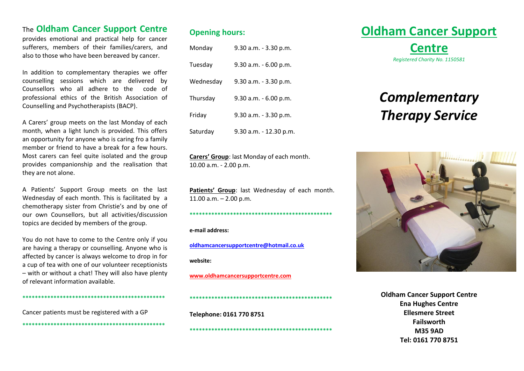## The **Oldham Cancer Support Centre**

provides emotional and practical help for cancer sufferers, members of their families/carers, and also to those who have been bereaved by cancer.

In addition to complementary therapies we offer counselling sessions which are delivered by Counsellors who all adhere to the code of professional ethics of the British Association of Counselling and Psychotherapists (BACP).

A Carers' group meets on the last Monday of each month, when a light lunch is provided. This offers an opportunity for anyone who is caring fro a family member or friend to have a break for a few hours. Most carers can feel quite isolated and the group provides companionship and the realisation that they are not alone.

A Patients' Support Group meets on the last Wednesday of each month. This is facilitated by a chemotherapy sister from Christie's and by one of our own Counsellors, but all activities/discussion topics are decided by members of the group.

You do not have to come to the Centre only if you are having a therapy or counselling. Anyone who is affected by cancer is always welcome to drop in for a cup of tea with one of our volunteer receptionists – with or without a chat! They will also have plenty of relevant information available.

**\*\*\*\*\*\*\*\*\*\*\*\*\*\*\*\*\*\*\*\*\*\*\*\*\*\*\*\*\*\*\*\*\*\*\*\*\*\*\*\*\*\*\*\*\*\***

**\*\*\*\*\*\*\*\*\*\*\*\*\*\*\*\*\*\*\*\*\*\*\*\*\*\*\*\*\*\*\*\*\*\*\*\*\*\*\*\*\*\*\*\*\*\***

Cancer patients must be registered with a GP

**Opening hours:**

| Monday    | 9.30 a.m. - 3.30 p.m.  |
|-----------|------------------------|
| Tuesday   | 9.30 a.m. - 6.00 p.m.  |
| Wednesday | 9.30 a.m. - 3.30 p.m.  |
| Thursday  | 9.30 a.m. - 6.00 p.m.  |
| Friday    | 9.30 a.m. - 3.30 p.m.  |
| Saturday  | 9.30 a.m. - 12.30 p.m. |

**Carers' Group**: last Monday of each month. 10.00 a.m. - 2.00 p.m.

Patients' Group: last Wednesday of each month. 11.00 a.m. – 2.00 p.m.

**\*\*\*\*\*\*\*\*\*\*\*\*\*\*\*\*\*\*\*\*\*\*\*\*\*\*\*\*\*\*\*\*\*\*\*\*\*\*\*\*\*\*\*\*\*\***

**\*\*\*\*\*\*\*\*\*\*\*\*\*\*\*\*\*\*\*\*\*\*\*\*\*\*\*\*\*\*\*\*\*\*\*\*\*\*\*\*\*\*\*\*\*\***

**\*\*\*\*\*\*\*\*\*\*\*\*\*\*\*\*\*\*\*\*\*\*\*\*\*\*\*\*\*\*\*\*\*\*\*\*\*\*\*\*\*\*\*\*\*\***

**e-mail address:**

**[oldhamcancersupportcentre@hotmail.co.uk](mailto:oldhamcancersupportcentre@hotmail.co.uk) website:**

**[www.oldhamcancersupportcentre.com](http://www.oldhamcancersupportcentre.com/)**

#### **Telephone: 0161 770 8751**

# **Oldham Cancer Support**

**Centre** *Registered Charity No. 1150581*

## *Complementary Therapy Service*



**Oldham Cancer Support Centre Ena Hughes Centre Ellesmere Street Failsworth M35 9AD Tel: 0161 770 8751**